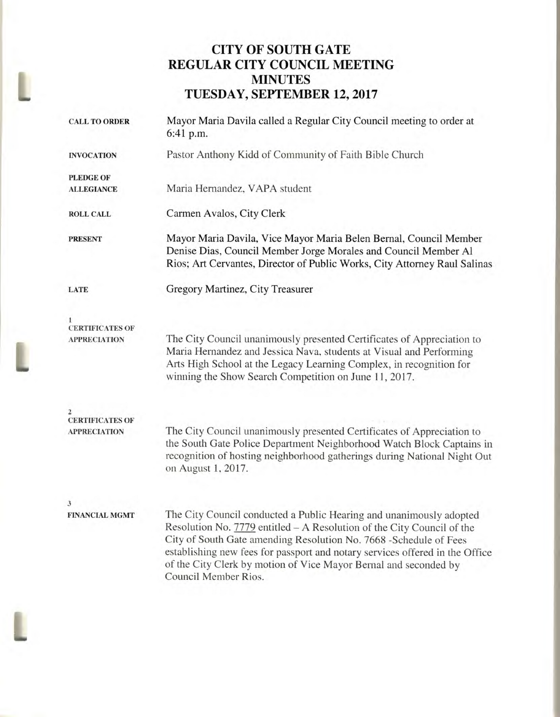# **CITY OF SOUTH GATE REGULAR CITY COUNCIL MEETING MINUTES TUESDAY, SEPTEMBER 12, 2017**

| <b>CALL TO ORDER</b>                          | Mayor Maria Davila called a Regular City Council meeting to order at<br>6:41 p.m.                                                                                                                                                                                                                                                                                                               |  |  |
|-----------------------------------------------|-------------------------------------------------------------------------------------------------------------------------------------------------------------------------------------------------------------------------------------------------------------------------------------------------------------------------------------------------------------------------------------------------|--|--|
| <b>INVOCATION</b>                             | Pastor Anthony Kidd of Community of Faith Bible Church                                                                                                                                                                                                                                                                                                                                          |  |  |
| <b>PLEDGE OF</b>                              |                                                                                                                                                                                                                                                                                                                                                                                                 |  |  |
| <b>ALLEGIANCE</b>                             | Maria Hernandez, VAPA student                                                                                                                                                                                                                                                                                                                                                                   |  |  |
| <b>ROLL CALL</b>                              | Carmen Avalos, City Clerk                                                                                                                                                                                                                                                                                                                                                                       |  |  |
| <b>PRESENT</b>                                | Mayor Maria Davila, Vice Mayor Maria Belen Bernal, Council Member<br>Denise Dias, Council Member Jorge Morales and Council Member Al<br>Rios; Art Cervantes, Director of Public Works, City Attorney Raul Salinas                                                                                                                                                                               |  |  |
| <b>LATE</b>                                   | Gregory Martinez, City Treasurer                                                                                                                                                                                                                                                                                                                                                                |  |  |
| <b>CERTIFICATES OF</b><br><b>APPRECIATION</b> | The City Council unanimously presented Certificates of Appreciation to<br>Maria Hernandez and Jessica Nava, students at Visual and Performing<br>Arts High School at the Legacy Learning Complex, in recognition for<br>winning the Show Search Competition on June 11, 2017.                                                                                                                   |  |  |
| <b>CERTIFICATES OF</b><br><b>APPRECIATION</b> | The City Council unanimously presented Certificates of Appreciation to<br>the South Gate Police Department Neighborhood Watch Block Captains in<br>recognition of hosting neighborhood gatherings during National Night Out<br>on August 1, 2017.                                                                                                                                               |  |  |
| $\mathbf{3}$<br><b>FINANCIAL MGMT</b>         | The City Council conducted a Public Hearing and unanimously adopted<br>Resolution No. 7779 entitled - A Resolution of the City Council of the<br>City of South Gate amending Resolution No. 7668 - Schedule of Fees<br>establishing new fees for passport and notary services offered in the Office<br>of the City Clerk by motion of Vice Mayor Bernal and seconded by<br>Council Member Rios. |  |  |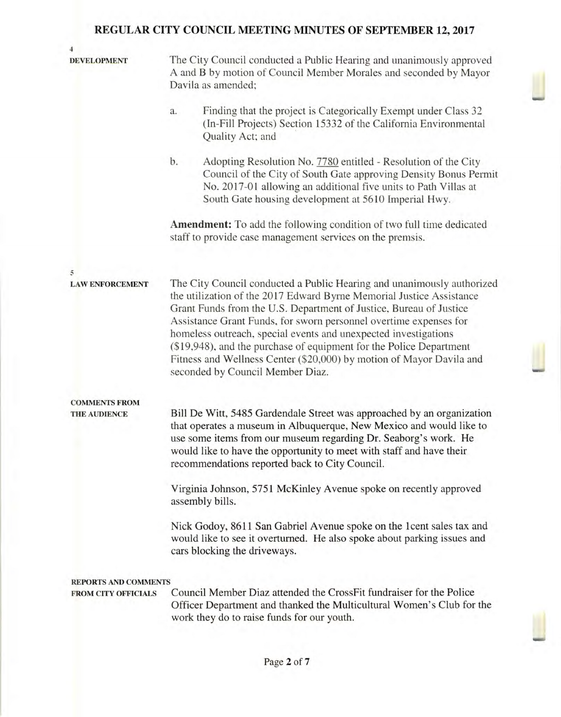| 4                                           |                                                                                                                                                                                                                                                                                                                                                                                                                                                                                                                                                 |  |  |
|---------------------------------------------|-------------------------------------------------------------------------------------------------------------------------------------------------------------------------------------------------------------------------------------------------------------------------------------------------------------------------------------------------------------------------------------------------------------------------------------------------------------------------------------------------------------------------------------------------|--|--|
| <b>DEVELOPMENT</b>                          | The City Council conducted a Public Hearing and unanimously approved<br>A and B by motion of Council Member Morales and seconded by Mayor<br>Davila as amended;                                                                                                                                                                                                                                                                                                                                                                                 |  |  |
|                                             | Finding that the project is Categorically Exempt under Class 32<br>a.<br>(In-Fill Projects) Section 15332 of the California Environmental<br>Quality Act; and                                                                                                                                                                                                                                                                                                                                                                                   |  |  |
|                                             | b.<br>Adopting Resolution No. 7780 entitled - Resolution of the City<br>Council of the City of South Gate approving Density Bonus Permit<br>No. 2017-01 allowing an additional five units to Path Villas at<br>South Gate housing development at 5610 Imperial Hwy.                                                                                                                                                                                                                                                                             |  |  |
|                                             | <b>Amendment:</b> To add the following condition of two full time dedicated<br>staff to provide case management services on the premsis.                                                                                                                                                                                                                                                                                                                                                                                                        |  |  |
|                                             |                                                                                                                                                                                                                                                                                                                                                                                                                                                                                                                                                 |  |  |
| 5<br><b>LAW ENFORCEMENT</b>                 | The City Council conducted a Public Hearing and unanimously authorized<br>the utilization of the 2017 Edward Byrne Memorial Justice Assistance<br>Grant Funds from the U.S. Department of Justice, Bureau of Justice<br>Assistance Grant Funds, for sworn personnel overtime expenses for<br>homeless outreach, special events and unexpected investigations<br>(\$19,948), and the purchase of equipment for the Police Department<br>Fitness and Wellness Center (\$20,000) by motion of Mayor Davila and<br>seconded by Council Member Diaz. |  |  |
| <b>COMMENTS FROM</b><br><b>THE AUDIENCE</b> | Bill De Witt, 5485 Gardendale Street was approached by an organization<br>that operates a museum in Albuquerque, New Mexico and would like to<br>use some items from our museum regarding Dr. Seaborg's work. He<br>would like to have the opportunity to meet with staff and have their<br>recommendations reported back to City Council.                                                                                                                                                                                                      |  |  |
|                                             | Virginia Johnson, 5751 McKinley Avenue spoke on recently approved<br>assembly bills.                                                                                                                                                                                                                                                                                                                                                                                                                                                            |  |  |
|                                             | Nick Godoy, 8611 San Gabriel Avenue spoke on the 1 cent sales tax and<br>would like to see it overturned. He also spoke about parking issues and<br>cars blocking the driveways.                                                                                                                                                                                                                                                                                                                                                                |  |  |
| <b>REPORTS AND COMMENTS</b>                 |                                                                                                                                                                                                                                                                                                                                                                                                                                                                                                                                                 |  |  |
| <b>FROM CITY OFFICIALS</b>                  | Council Member Diaz attended the CrossFit fundraiser for the Police<br>Officer Department and thanked the Multicultural Women's Club for the<br>work they do to raise funds for our youth.                                                                                                                                                                                                                                                                                                                                                      |  |  |
|                                             |                                                                                                                                                                                                                                                                                                                                                                                                                                                                                                                                                 |  |  |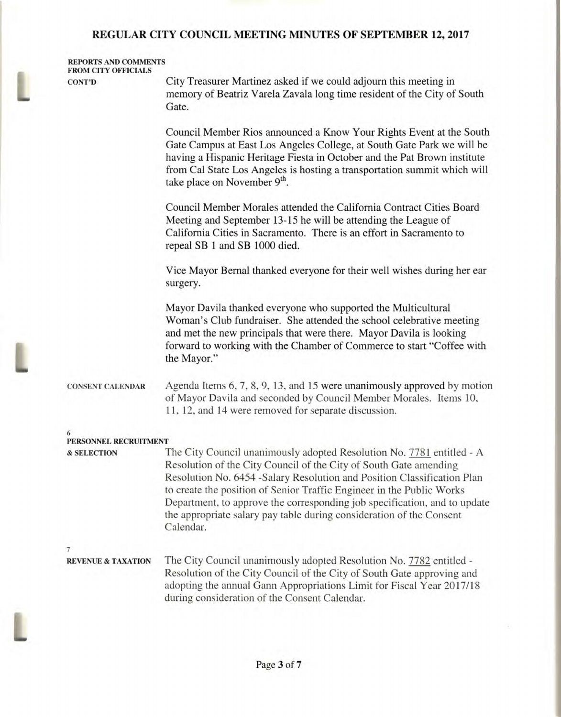#### **REPORTS AND COMMENTS FROM CITY OFFICIALS**

**CONT'D** 

L

City Treasurer Martinez asked if we could adjourn this meeting in memory of Beatriz Varela Zavala long time resident of the City of South Gate.

Council Member Rios announced a Know Your Rights Event at the South Gate Campus at East Los Angeles College, at South Gate Park we will be having a Hispanic Heritage Fiesta in October and the Pat Brown institute from Cal State Los Angeles is hosting a transportation summit which will take place on November 9<sup>th</sup>.

Council Member Morales attended the California Contract Cities Board Meeting and September 13-15 he will be attending the League of California Cities in Sacramento. There is an effort in Sacramento to repeal SB 1 and SB 1000 died.

Vice Mayor Bernal thanked everyone for their well wishes during her ear surgery.

Mayor Davila thanked everyone who supported the Multicultural Woman's Club fundraiser. She attended the school celebrative meeting and met the new principals that were there. Mayor Davila is looking forward to working with the Chamber of Commerce to start "Coffee with the Mayor."

#### **CONSENT CALENDAR** Agenda Items 6, 7, 8, 9, 13, and 15 were unanimously approved by motion of Mayor Davila and seconded by Council Member Morales. Items 10, 11, 12, and 14 were removed for separate discussion.

| <b>&amp; SELECTION</b>        | The City Council unanimously adopted Resolution No. 7781 entitled - A                                                                           |
|-------------------------------|-------------------------------------------------------------------------------------------------------------------------------------------------|
|                               | Resolution of the City Council of the City of South Gate amending                                                                               |
|                               |                                                                                                                                                 |
|                               | Resolution No. 6454 -Salary Resolution and Position Classification Plan                                                                         |
|                               | to create the position of Senior Traffic Engineer in the Public Works                                                                           |
|                               | Department, to approve the corresponding job specification, and to update                                                                       |
|                               | the appropriate salary pay table during consideration of the Consent                                                                            |
|                               | Calendar.                                                                                                                                       |
|                               |                                                                                                                                                 |
| <b>REVENUE &amp; TAXATION</b> | The City Council unanimously adopted Resolution No. 7782 entitled -                                                                             |
|                               | Resolution of the City Council of the City of South Gate approving and<br>adopting the annual Gann Appropriations Limit for Fiscal Year 2017/18 |
|                               | during consideration of the Consent Calendar.                                                                                                   |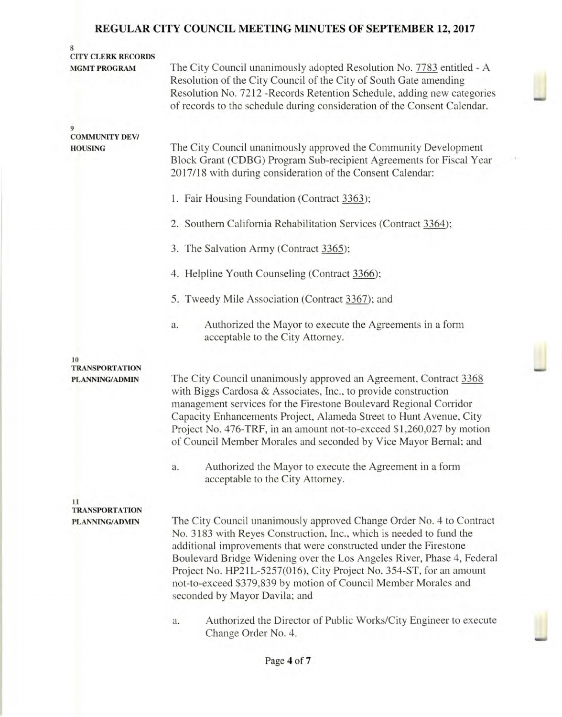| 8<br><b>CITY CLERK RECORDS</b><br><b>MGMT PROGRAM</b> | The City Council unanimously adopted Resolution No. 7783 entitled - A<br>Resolution of the City Council of the City of South Gate amending<br>Resolution No. 7212 - Records Retention Schedule, adding new categories<br>of records to the schedule during consideration of the Consent Calendar.                                                                                                                                                                     |  |
|-------------------------------------------------------|-----------------------------------------------------------------------------------------------------------------------------------------------------------------------------------------------------------------------------------------------------------------------------------------------------------------------------------------------------------------------------------------------------------------------------------------------------------------------|--|
| 9<br><b>COMMUNITY DEV/</b><br><b>HOUSING</b>          | The City Council unanimously approved the Community Development<br>Block Grant (CDBG) Program Sub-recipient Agreements for Fiscal Year<br>2017/18 with during consideration of the Consent Calendar:                                                                                                                                                                                                                                                                  |  |
|                                                       | 1. Fair Housing Foundation (Contract 3363);                                                                                                                                                                                                                                                                                                                                                                                                                           |  |
|                                                       | 2. Southern California Rehabilitation Services (Contract 3364);                                                                                                                                                                                                                                                                                                                                                                                                       |  |
|                                                       | 3. The Salvation Army (Contract 3365);                                                                                                                                                                                                                                                                                                                                                                                                                                |  |
|                                                       | 4. Helpline Youth Counseling (Contract 3366);                                                                                                                                                                                                                                                                                                                                                                                                                         |  |
|                                                       | 5. Tweedy Mile Association (Contract 3367); and                                                                                                                                                                                                                                                                                                                                                                                                                       |  |
|                                                       | Authorized the Mayor to execute the Agreements in a form<br>a.<br>acceptable to the City Attorney.                                                                                                                                                                                                                                                                                                                                                                    |  |
| 10<br><b>TRANSPORTATION</b><br>PLANNING/ADMIN         | The City Council unanimously approved an Agreement, Contract 3368<br>with Biggs Cardosa & Associates, Inc., to provide construction<br>management services for the Firestone Boulevard Regional Corridor<br>Capacity Enhancements Project, Alameda Street to Hunt Avenue, City<br>Project No. 476-TRF, in an amount not-to-exceed \$1,260,027 by motion<br>of Council Member Morales and seconded by Vice Mayor Bernal; and                                           |  |
|                                                       | Authorized the Mayor to execute the Agreement in a form<br>a.<br>acceptable to the City Attorney.                                                                                                                                                                                                                                                                                                                                                                     |  |
| 11<br><b>TRANSPORTATION</b><br><b>PLANNING/ADMIN</b>  | The City Council unanimously approved Change Order No. 4 to Contract<br>No. 3183 with Reyes Construction, Inc., which is needed to fund the<br>additional improvements that were constructed under the Firestone<br>Boulevard Bridge Widening over the Los Angeles River, Phase 4, Federal<br>Project No. HP21L-5257(016), City Project No. 354-ST, for an amount<br>not-to-exceed \$379,839 by motion of Council Member Morales and<br>seconded by Mayor Davila; and |  |
|                                                       | Authorized the Director of Public Works/City Engineer to execute<br>a.<br>Change Order No. 4.                                                                                                                                                                                                                                                                                                                                                                         |  |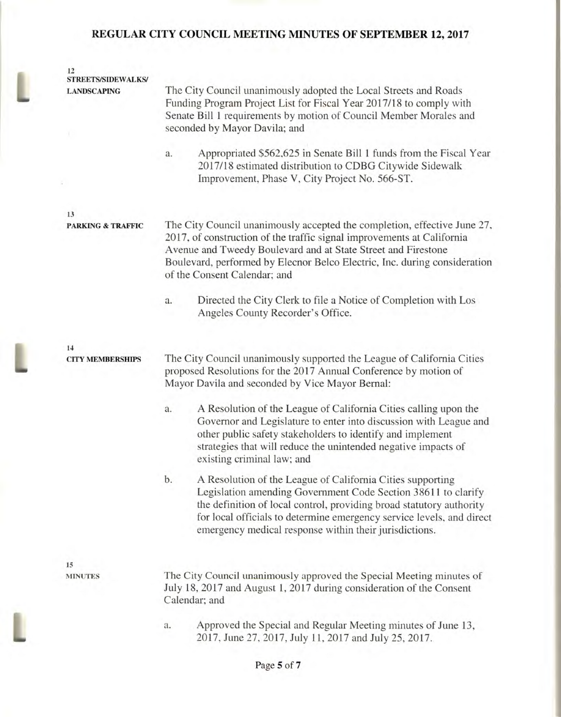L

L

| 12<br><b>STREETS/SIDEWALKS/</b>    |                                                                                                                                                                                                                                                                                                                                              |  |  |
|------------------------------------|----------------------------------------------------------------------------------------------------------------------------------------------------------------------------------------------------------------------------------------------------------------------------------------------------------------------------------------------|--|--|
| <b>LANDSCAPING</b>                 | The City Council unanimously adopted the Local Streets and Roads<br>Funding Program Project List for Fiscal Year 2017/18 to comply with<br>Senate Bill 1 requirements by motion of Council Member Morales and<br>seconded by Mayor Davila; and                                                                                               |  |  |
|                                    | Appropriated \$562,625 in Senate Bill 1 funds from the Fiscal Year<br>a.<br>2017/18 estimated distribution to CDBG Citywide Sidewalk<br>Improvement, Phase V, City Project No. 566-ST.                                                                                                                                                       |  |  |
|                                    |                                                                                                                                                                                                                                                                                                                                              |  |  |
| 13<br><b>PARKING &amp; TRAFFIC</b> | The City Council unanimously accepted the completion, effective June 27,<br>2017, of construction of the traffic signal improvements at California<br>Avenue and Tweedy Boulevard and at State Street and Firestone<br>Boulevard, performed by Elecnor Belco Electric, Inc. during consideration<br>of the Consent Calendar; and             |  |  |
|                                    | Directed the City Clerk to file a Notice of Completion with Los<br>a.<br>Angeles County Recorder's Office.                                                                                                                                                                                                                                   |  |  |
| 14                                 |                                                                                                                                                                                                                                                                                                                                              |  |  |
| <b>CITY MEMBERSHIPS</b>            | The City Council unanimously supported the League of California Cities<br>proposed Resolutions for the 2017 Annual Conference by motion of<br>Mayor Davila and seconded by Vice Mayor Bernal:                                                                                                                                                |  |  |
|                                    | A Resolution of the League of California Cities calling upon the<br>a.<br>Governor and Legislature to enter into discussion with League and<br>other public safety stakeholders to identify and implement<br>strategies that will reduce the unintended negative impacts of<br>existing criminal law; and                                    |  |  |
|                                    | b.<br>A Resolution of the League of California Cities supporting<br>Legislation amending Government Code Section 38611 to clarify<br>the definition of local control, providing broad statutory authority<br>for local officials to determine emergency service levels, and direct<br>emergency medical response within their jurisdictions. |  |  |
|                                    |                                                                                                                                                                                                                                                                                                                                              |  |  |
| 15<br><b>MINUTES</b>               | The City Council unanimously approved the Special Meeting minutes of<br>July 18, 2017 and August 1, 2017 during consideration of the Consent<br>Calendar; and                                                                                                                                                                                |  |  |
|                                    | Approved the Special and Regular Meeting minutes of June 13,<br>a.<br>2017, June 27, 2017, July 11, 2017 and July 25, 2017.                                                                                                                                                                                                                  |  |  |
|                                    |                                                                                                                                                                                                                                                                                                                                              |  |  |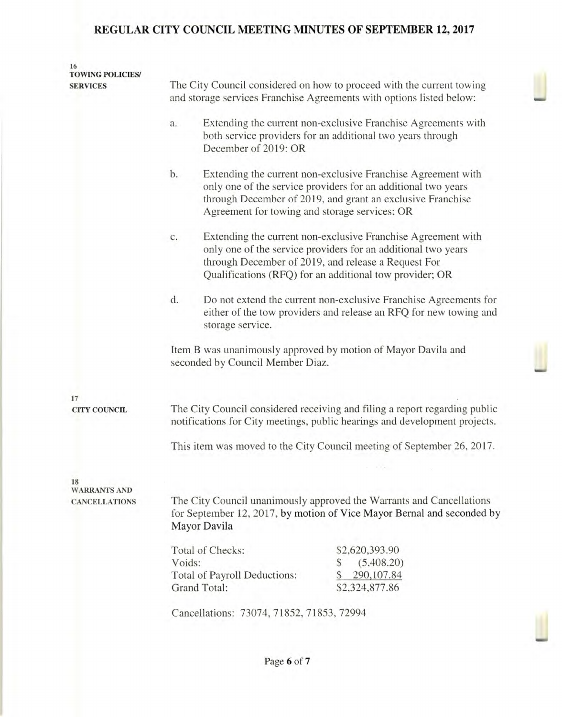| 16<br><b>TOWING POLICIES/</b><br><b>SERVICES</b> | The City Council considered on how to proceed with the current towing<br>and storage services Franchise Agreements with options listed below:                  |                                                                                                                                                                                                                                                 |  |
|--------------------------------------------------|----------------------------------------------------------------------------------------------------------------------------------------------------------------|-------------------------------------------------------------------------------------------------------------------------------------------------------------------------------------------------------------------------------------------------|--|
|                                                  | a.<br>December of 2019: OR                                                                                                                                     | Extending the current non-exclusive Franchise Agreements with<br>both service providers for an additional two years through                                                                                                                     |  |
|                                                  | b.<br>Agreement for towing and storage services; OR                                                                                                            | Extending the current non-exclusive Franchise Agreement with<br>only one of the service providers for an additional two years<br>through December of 2019, and grant an exclusive Franchise                                                     |  |
|                                                  | c.                                                                                                                                                             | Extending the current non-exclusive Franchise Agreement with<br>only one of the service providers for an additional two years<br>through December of 2019, and release a Request For<br>Qualifications (RFQ) for an additional tow provider; OR |  |
|                                                  | d.<br>storage service.                                                                                                                                         | Do not extend the current non-exclusive Franchise Agreements for<br>either of the tow providers and release an RFQ for new towing and                                                                                                           |  |
|                                                  | Item B was unanimously approved by motion of Mayor Davila and<br>seconded by Council Member Diaz.                                                              |                                                                                                                                                                                                                                                 |  |
|                                                  |                                                                                                                                                                |                                                                                                                                                                                                                                                 |  |
| 17<br><b>CITY COUNCIL</b>                        | The City Council considered receiving and filing a report regarding public<br>notifications for City meetings, public hearings and development projects.       |                                                                                                                                                                                                                                                 |  |
|                                                  | This item was moved to the City Council meeting of September 26, 2017.                                                                                         |                                                                                                                                                                                                                                                 |  |
| 18                                               |                                                                                                                                                                |                                                                                                                                                                                                                                                 |  |
| <b>WARRANTS AND</b><br><b>CANCELLATIONS</b>      | The City Council unanimously approved the Warrants and Cancellations<br>for September 12, 2017, by motion of Vice Mayor Bernal and seconded by<br>Mayor Davila |                                                                                                                                                                                                                                                 |  |
|                                                  | Total of Checks:<br>Voids:<br>Total of Payroll Deductions:<br>Grand Total:                                                                                     | \$2,620,393.90<br>(5,408.20)<br>S<br>290,107.84<br>\$2,324,877.86                                                                                                                                                                               |  |
|                                                  | Cancellations: 73074, 71852, 71853, 72994                                                                                                                      |                                                                                                                                                                                                                                                 |  |